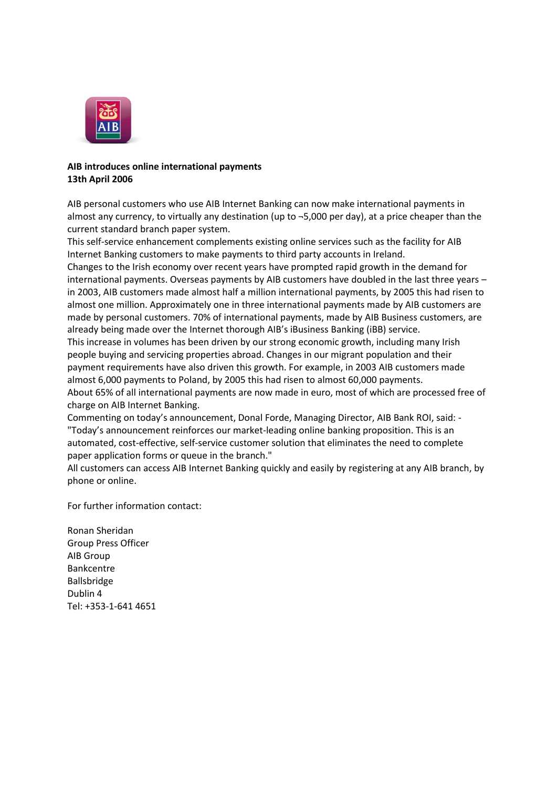

# **AIB introduces online international payments 13th April 2006**

AIB personal customers who use AIB Internet Banking can now make international payments in almost any currency, to virtually any destination (up to ¬5,000 per day), at a price cheaper than the current standard branch paper system.

This self-service enhancement complements existing online services such as the facility for AIB Internet Banking customers to make payments to third party accounts in Ireland.

Changes to the Irish economy over recent years have prompted rapid growth in the demand for international payments. Overseas payments by AIB customers have doubled in the last three years – in 2003, AIB customers made almost half a million international payments, by 2005 this had risen to almost one million. Approximately one in three international payments made by AIB customers are made by personal customers. 70% of international payments, made by AIB Business customers, are already being made over the Internet thorough AIB's iBusiness Banking (iBB) service.

This increase in volumes has been driven by our strong economic growth, including many Irish people buying and servicing properties abroad. Changes in our migrant population and their payment requirements have also driven this growth. For example, in 2003 AIB customers made almost 6,000 payments to Poland, by 2005 this had risen to almost 60,000 payments.

About 65% of all international payments are now made in euro, most of which are processed free of charge on AIB Internet Banking.

Commenting on today's announcement, Donal Forde, Managing Director, AIB Bank ROI, said: - "Today's announcement reinforces our market-leading online banking proposition. This is an automated, cost-effective, self-service customer solution that eliminates the need to complete paper application forms or queue in the branch."

All customers can access AIB Internet Banking quickly and easily by registering at any AIB branch, by phone or online.

For further information contact:

Ronan Sheridan Group Press Officer AIB Group Bankcentre Ballsbridge Dublin 4 Tel: +353-1-641 4651